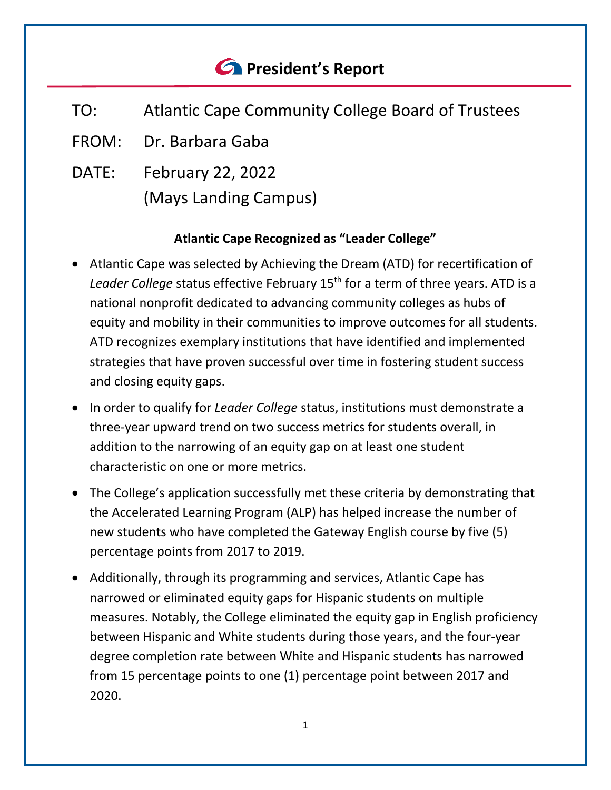# *<u>C* President's Report</u>

- TO: Atlantic Cape Community College Board of Trustees
- FROM: Dr. Barbara Gaba
- DATE: February 22, 2022 (Mays Landing Campus)

# **Atlantic Cape Recognized as "Leader College"**

- Atlantic Cape was selected by Achieving the Dream (ATD) for recertification of Leader College status effective February 15<sup>th</sup> for a term of three years. ATD is a national nonprofit dedicated to advancing community colleges as hubs of equity and mobility in their communities to improve outcomes for all students. ATD recognizes exemplary institutions that have identified and implemented strategies that have proven successful over time in fostering student success and closing equity gaps.
- In order to qualify for *Leader College* status, institutions must demonstrate a three-year upward trend on two success metrics for students overall, in addition to the narrowing of an equity gap on at least one student characteristic on one or more metrics.
- The College's application successfully met these criteria by demonstrating that the Accelerated Learning Program (ALP) has helped increase the number of new students who have completed the Gateway English course by five (5) percentage points from 2017 to 2019.
- Additionally, through its programming and services, Atlantic Cape has narrowed or eliminated equity gaps for Hispanic students on multiple measures. Notably, the College eliminated the equity gap in English proficiency between Hispanic and White students during those years, and the four-year degree completion rate between White and Hispanic students has narrowed from 15 percentage points to one (1) percentage point between 2017 and 2020.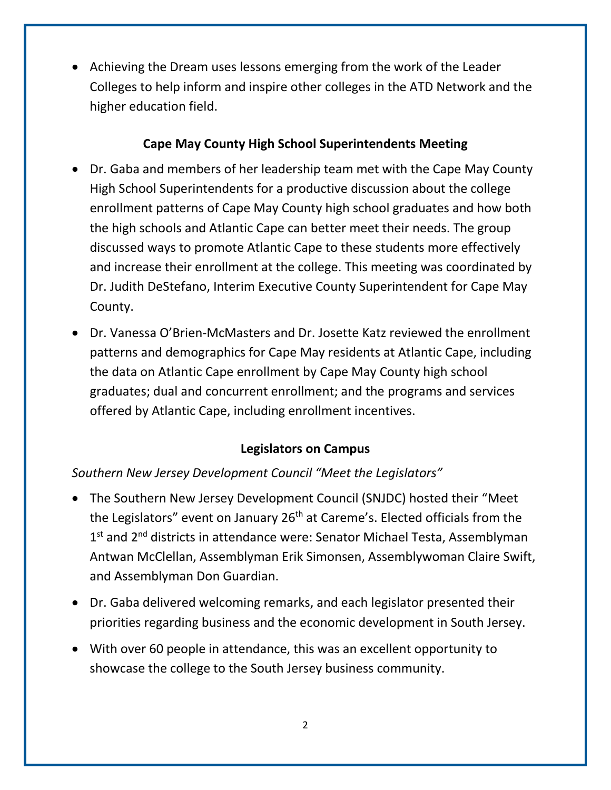• Achieving the Dream uses lessons emerging from the work of the Leader Colleges to help inform and inspire other colleges in the ATD Network and the higher education field.

# **Cape May County High School Superintendents Meeting**

- Dr. Gaba and members of her leadership team met with the Cape May County High School Superintendents for a productive discussion about the college enrollment patterns of Cape May County high school graduates and how both the high schools and Atlantic Cape can better meet their needs. The group discussed ways to promote Atlantic Cape to these students more effectively and increase their enrollment at the college. This meeting was coordinated by Dr. Judith DeStefano, Interim Executive County Superintendent for Cape May County.
- Dr. Vanessa O'Brien-McMasters and Dr. Josette Katz reviewed the enrollment patterns and demographics for Cape May residents at Atlantic Cape, including the data on Atlantic Cape enrollment by Cape May County high school graduates; dual and concurrent enrollment; and the programs and services offered by Atlantic Cape, including enrollment incentives.

# **Legislators on Campus**

*Southern New Jersey Development Council "Meet the Legislators"*

- The Southern New Jersey Development Council (SNJDC) hosted their "Meet the Legislators" event on January 26<sup>th</sup> at Careme's. Elected officials from the 1<sup>st</sup> and 2<sup>nd</sup> districts in attendance were: Senator Michael Testa, Assemblyman Antwan McClellan, Assemblyman Erik Simonsen, Assemblywoman Claire Swift, and Assemblyman Don Guardian.
- Dr. Gaba delivered welcoming remarks, and each legislator presented their priorities regarding business and the economic development in South Jersey.
- With over 60 people in attendance, this was an excellent opportunity to showcase the college to the South Jersey business community.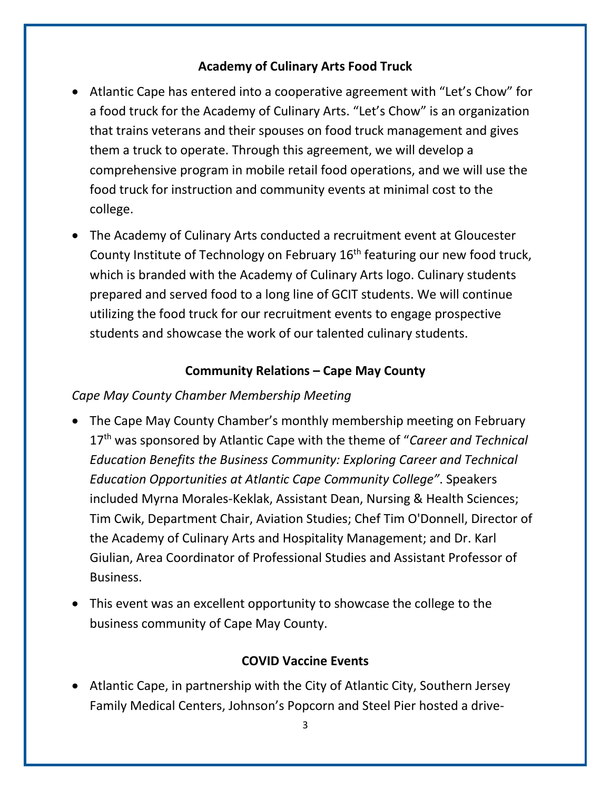## **Academy of Culinary Arts Food Truck**

- Atlantic Cape has entered into a cooperative agreement with "Let's Chow" for a food truck for the Academy of Culinary Arts. "Let's Chow" is an organization that trains veterans and their spouses on food truck management and gives them a truck to operate. Through this agreement, we will develop a comprehensive program in mobile retail food operations, and we will use the food truck for instruction and community events at minimal cost to the college.
- The Academy of Culinary Arts conducted a recruitment event at Gloucester County Institute of Technology on February 16<sup>th</sup> featuring our new food truck, which is branded with the Academy of Culinary Arts logo. Culinary students prepared and served food to a long line of GCIT students. We will continue utilizing the food truck for our recruitment events to engage prospective students and showcase the work of our talented culinary students.

# **Community Relations – Cape May County**

## *Cape May County Chamber Membership Meeting*

- The Cape May County Chamber's monthly membership meeting on February 17th was sponsored by Atlantic Cape with the theme of "*Career and Technical Education Benefits the Business Community: Exploring Career and Technical Education Opportunities at Atlantic Cape Community College"*. Speakers included Myrna Morales-Keklak, Assistant Dean, Nursing & Health Sciences; Tim Cwik, Department Chair, Aviation Studies; Chef Tim O'Donnell, Director of the Academy of Culinary Arts and Hospitality Management; and Dr. Karl Giulian, Area Coordinator of Professional Studies and Assistant Professor of Business.
- This event was an excellent opportunity to showcase the college to the business community of Cape May County.

## **COVID Vaccine Events**

• Atlantic Cape, in partnership with the City of Atlantic City, Southern Jersey Family Medical Centers, Johnson's Popcorn and Steel Pier hosted a drive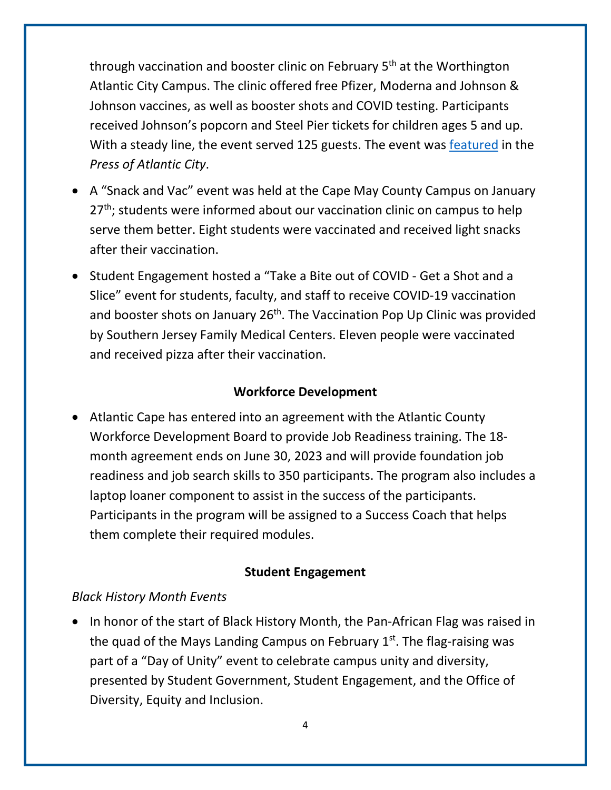through vaccination and booster clinic on February 5<sup>th</sup> at the Worthington Atlantic City Campus. The clinic offered free Pfizer, Moderna and Johnson & Johnson vaccines, as well as booster shots and COVID testing. Participants received Johnson's popcorn and Steel Pier tickets for children ages 5 and up. With a steady line, the event served 125 guests. The event was [featured](https://pressofatlanticcity.com/news/local/atlantic-cape-community-college-hosts-drive-thru-covid-19-vaccine-clinic/article_08bbbd4c-869f-11ec-8bd9-4ba555addc9e.html) in the *Press of Atlantic City*.

- A "Snack and Vac" event was held at the Cape May County Campus on January 27<sup>th</sup>; students were informed about our vaccination clinic on campus to help serve them better. Eight students were vaccinated and received light snacks after their vaccination.
- Student Engagement hosted a "Take a Bite out of COVID Get a Shot and a Slice" event for students, faculty, and staff to receive COVID-19 vaccination and booster shots on January 26<sup>th</sup>. The Vaccination Pop Up Clinic was provided by Southern Jersey Family Medical Centers. Eleven people were vaccinated and received pizza after their vaccination.

## **Workforce Development**

• Atlantic Cape has entered into an agreement with the Atlantic County Workforce Development Board to provide Job Readiness training. The 18 month agreement ends on June 30, 2023 and will provide foundation job readiness and job search skills to 350 participants. The program also includes a laptop loaner component to assist in the success of the participants. Participants in the program will be assigned to a Success Coach that helps them complete their required modules.

### **Student Engagement**

### *Black History Month Events*

• In honor of the start of Black History Month, the Pan-African Flag was raised in the quad of the Mays Landing Campus on February  $1<sup>st</sup>$ . The flag-raising was part of a "Day of Unity" event to celebrate campus unity and diversity, presented by Student Government, Student Engagement, and the Office of Diversity, Equity and Inclusion.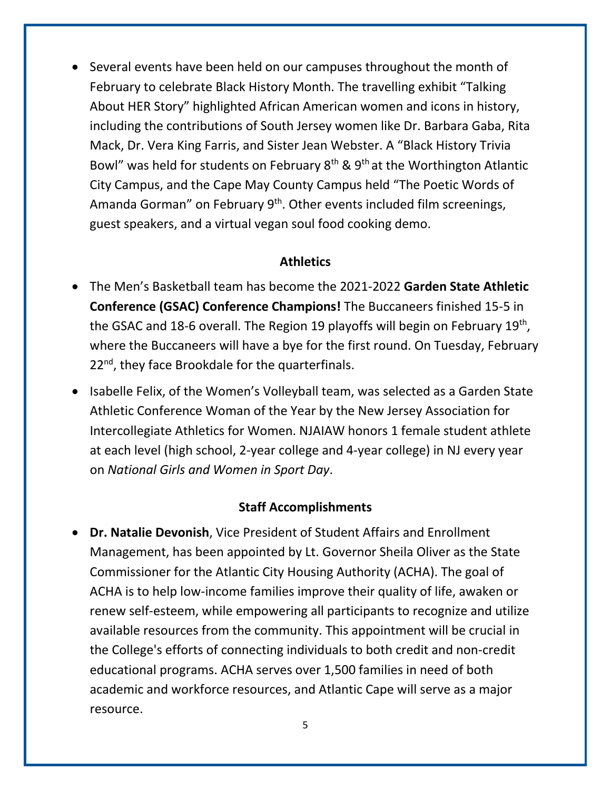• Several events have been held on our campuses throughout the month of February to celebrate Black History Month. The travelling exhibit "Talking About HER Story" highlighted African American women and icons in history, including the contributions of South Jersey women like Dr. Barbara Gaba, Rita Mack, Dr. Vera King Farris, and Sister Jean Webster. A "Black History Trivia Bowl" was held for students on February  $8<sup>th</sup>$  &  $9<sup>th</sup>$  at the Worthington Atlantic City Campus, and the Cape May County Campus held "The Poetic Words of Amanda Gorman" on February 9<sup>th</sup>. Other events included film screenings, guest speakers, and a virtual vegan soul food cooking demo.

#### **Athletics**

- The Men's Basketball team has become the 2021-2022 **Garden State Athletic Conference (GSAC) Conference Champions!** The Buccaneers finished 15-5 in the GSAC and 18-6 overall. The Region 19 playoffs will begin on February 19<sup>th</sup>, where the Buccaneers will have a bye for the first round. On Tuesday, February 22<sup>nd</sup>, they face Brookdale for the quarterfinals.
- Isabelle Felix, of the Women's Volleyball team, was selected as a Garden State Athletic Conference Woman of the Year by the New Jersey Association for Intercollegiate Athletics for Women. NJAIAW honors 1 female student athlete at each level (high school, 2-year college and 4-year college) in NJ every year on *National Girls and Women in Sport Day*.

#### **Staff Accomplishments**

• **Dr. Natalie Devonish**, Vice President of Student Affairs and Enrollment Management, has been appointed by Lt. Governor Sheila Oliver as the State Commissioner for the Atlantic City Housing Authority (ACHA). The goal of ACHA is to help low-income families improve their quality of life, awaken or renew self-esteem, while empowering all participants to recognize and utilize available resources from the community. This appointment will be crucial in the College's efforts of connecting individuals to both credit and non-credit educational programs. ACHA serves over 1,500 families in need of both academic and workforce resources, and Atlantic Cape will serve as a major resource.